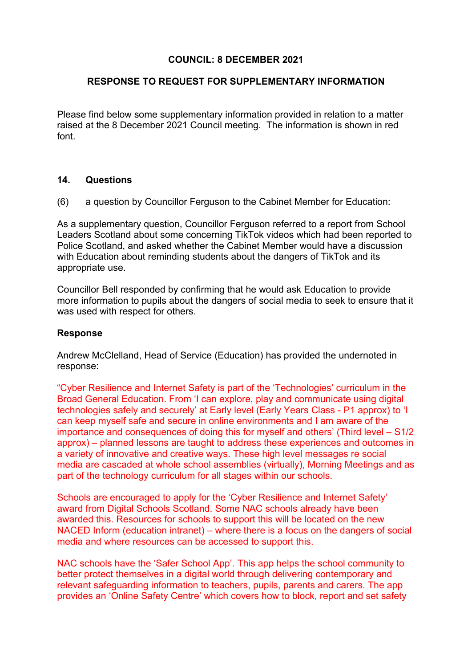## **COUNCIL: 8 DECEMBER 2021**

## **RESPONSE TO REQUEST FOR SUPPLEMENTARY INFORMATION**

Please find below some supplementary information provided in relation to a matter raised at the 8 December 2021 Council meeting. The information is shown in red font.

## **14. Questions**

(6) a question by Councillor Ferguson to the Cabinet Member for Education:

As a supplementary question, Councillor Ferguson referred to a report from School Leaders Scotland about some concerning TikTok videos which had been reported to Police Scotland, and asked whether the Cabinet Member would have a discussion with Education about reminding students about the dangers of TikTok and its appropriate use.

Councillor Bell responded by confirming that he would ask Education to provide more information to pupils about the dangers of social media to seek to ensure that it was used with respect for others.

## **Response**

Andrew McClelland, Head of Service (Education) has provided the undernoted in response:

"Cyber Resilience and Internet Safety is part of the 'Technologies' curriculum in the Broad General Education. From 'I can explore, play and communicate using digital technologies safely and securely' at Early level (Early Years Class - P1 approx) to 'I can keep myself safe and secure in online environments and I am aware of the importance and consequences of doing this for myself and others' (Third level – S1/2 approx) – planned lessons are taught to address these experiences and outcomes in a variety of innovative and creative ways. These high level messages re social media are cascaded at whole school assemblies (virtually), Morning Meetings and as part of the technology curriculum for all stages within our schools.

Schools are encouraged to apply for the 'Cyber Resilience and Internet Safety' award from Digital Schools Scotland. Some NAC schools already have been awarded this. Resources for schools to support this will be located on the new NACED Inform (education intranet) – where there is a focus on the dangers of social media and where resources can be accessed to support this.

NAC schools have the 'Safer School App'. This app helps the school community to better protect themselves in a digital world through delivering contemporary and relevant safeguarding information to teachers, pupils, parents and carers. The app provides an 'Online Safety Centre' which covers how to block, report and set safety